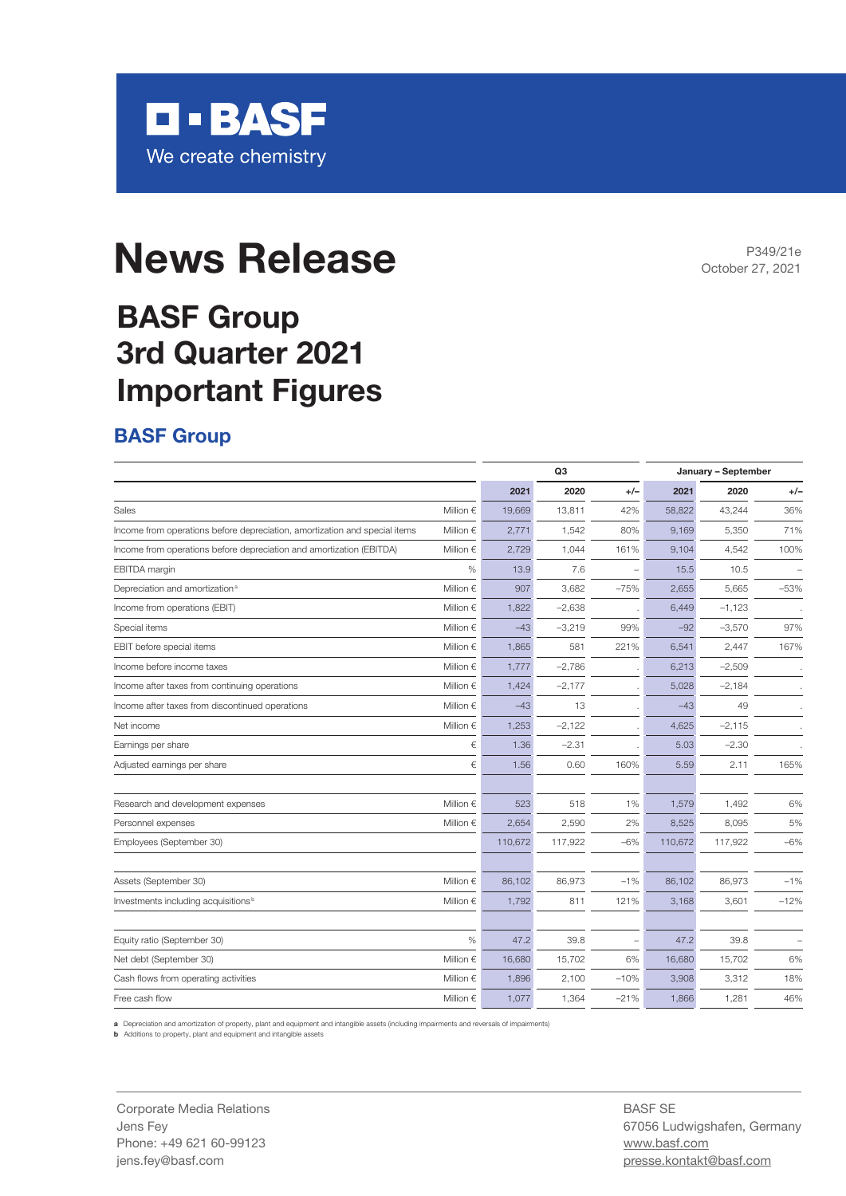

# **News Release**

## **BASF Group 3rd Quarter 2021 Important Figures**

#### **BASF Group**

|                                                                            |                    | Q <sub>3</sub> |          |        | January - September |          |        |  |
|----------------------------------------------------------------------------|--------------------|----------------|----------|--------|---------------------|----------|--------|--|
|                                                                            |                    | 2021           | 2020     | $+/-$  | 2021                | 2020     | $+/-$  |  |
| Sales                                                                      | Million $\in$      | 19,669         | 13,811   | 42%    | 58,822              | 43,244   | 36%    |  |
| Income from operations before depreciation, amortization and special items | Million $\epsilon$ | 2,771          | 1,542    | 80%    | 9,169               | 5,350    | 71%    |  |
| Income from operations before depreciation and amortization (EBITDA)       | Million $\in$      | 2,729          | 1,044    | 161%   | 9,104               | 4,542    | 100%   |  |
| <b>EBITDA</b> margin                                                       | $\%$               | 13.9           | 7.6      |        | 15.5                | 10.5     |        |  |
| Depreciation and amortization <sup>a</sup>                                 | Million $\epsilon$ | 907            | 3,682    | $-75%$ | 2,655               | 5,665    | $-53%$ |  |
| Income from operations (EBIT)                                              | Million $\in$      | 1,822          | $-2,638$ |        | 6,449               | $-1,123$ |        |  |
| Special items                                                              | Million $\epsilon$ | $-43$          | $-3,219$ | 99%    | $-92$               | $-3,570$ | 97%    |  |
| EBIT before special items                                                  | Million $\in$      | 1,865          | 581      | 221%   | 6,541               | 2,447    | 167%   |  |
| Income before income taxes                                                 | Million $\epsilon$ | 1,777          | $-2,786$ |        | 6,213               | $-2,509$ |        |  |
| Income after taxes from continuing operations                              | Million $\epsilon$ | 1,424          | $-2,177$ |        | 5,028               | $-2,184$ |        |  |
| Income after taxes from discontinued operations                            | Million $\epsilon$ | $-43$          | 13       |        | $-43$               | 49       |        |  |
| Net income                                                                 | Million $\in$      | 1,253          | $-2,122$ |        | 4,625               | $-2,115$ |        |  |
| Earnings per share                                                         | €                  | 1.36           | $-2.31$  |        | 5.03                | $-2.30$  |        |  |
| Adjusted earnings per share                                                | €                  | 1.56           | 0.60     | 160%   | 5.59                | 2.11     | 165%   |  |
| Research and development expenses                                          | Million $\in$      | 523            | 518      | 1%     | 1,579               | 1,492    | 6%     |  |
| Personnel expenses                                                         | Million $\epsilon$ | 2.654          | 2,590    | 2%     | 8,525               | 8,095    | 5%     |  |
| Employees (September 30)                                                   |                    | 110,672        | 117,922  | $-6\%$ | 110,672             | 117,922  | $-6%$  |  |
| Assets (September 30)                                                      | Million $\in$      | 86,102         | 86,973   | $-1%$  | 86,102              | 86,973   | $-1%$  |  |
| Investments including acquisitions <sup>b</sup>                            | Million $\in$      | 1,792          | 811      | 121%   | 3,168               | 3,601    | $-12%$ |  |
| Equity ratio (September 30)                                                | %                  | 47.2           | 39.8     | $\sim$ | 47.2                | 39.8     |        |  |
| Net debt (September 30)                                                    | Million $\epsilon$ | 16,680         | 15,702   | 6%     | 16,680              | 15,702   | 6%     |  |
| Cash flows from operating activities                                       | Million $\epsilon$ | 1,896          | 2,100    | $-10%$ | 3,908               | 3,312    | 18%    |  |
| Free cash flow                                                             | Million $\epsilon$ | 1,077          | 1,364    | $-21%$ | 1,866               | 1,281    | 46%    |  |

**a** Depreciation and amortization of property, plant and equipment and intangible assets (including impairments and reversals of impairments)

**b** Additions to property, plant and equipment and intangible assets

Corporate Media Relations Jens Fey Phone: +49 621 60-99123 jens.fey@basf.com

BASF SE 67056 Ludwigshafen, Germany www.basf.com presse.kontakt@basf.com

P349/21e October 27, 2021